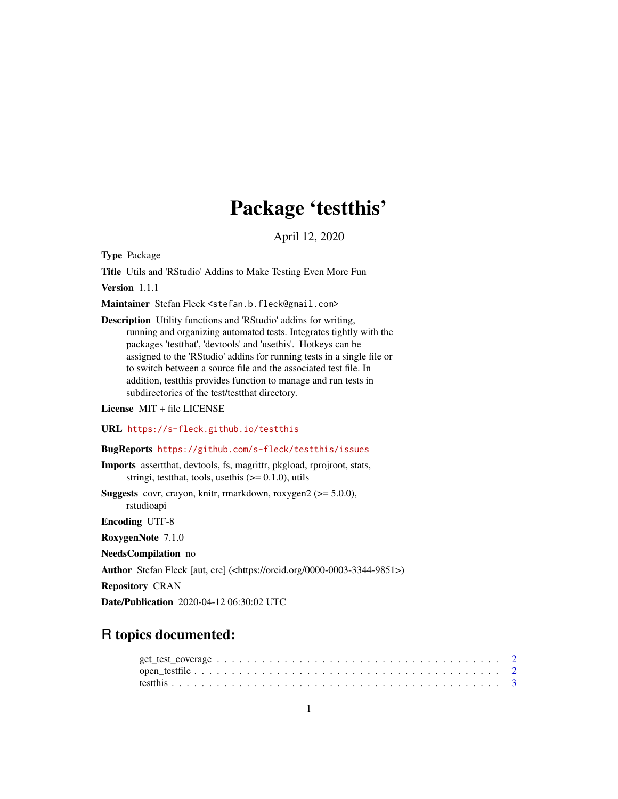# Package 'testthis'

April 12, 2020

<span id="page-0-0"></span>Type Package

Title Utils and 'RStudio' Addins to Make Testing Even More Fun

Version 1.1.1

Maintainer Stefan Fleck <stefan.b.fleck@gmail.com>

Description Utility functions and 'RStudio' addins for writing, running and organizing automated tests. Integrates tightly with the packages 'testthat', 'devtools' and 'usethis'. Hotkeys can be assigned to the 'RStudio' addins for running tests in a single file or to switch between a source file and the associated test file. In addition, testthis provides function to manage and run tests in subdirectories of the test/testthat directory.

License MIT + file LICENSE

URL <https://s-fleck.github.io/testthis>

# BugReports <https://github.com/s-fleck/testthis/issues>

Imports assertthat, devtools, fs, magrittr, pkgload, rprojroot, stats, stringi, test that, tools, use this  $(>= 0.1.0)$ , utils

**Suggests** covr, crayon, knitr, rmarkdown, roxygen2  $(>= 5.0.0)$ , rstudioapi

Encoding UTF-8

RoxygenNote 7.1.0

NeedsCompilation no

Author Stefan Fleck [aut, cre] (<https://orcid.org/0000-0003-3344-9851>)

Repository CRAN

Date/Publication 2020-04-12 06:30:02 UTC

# R topics documented: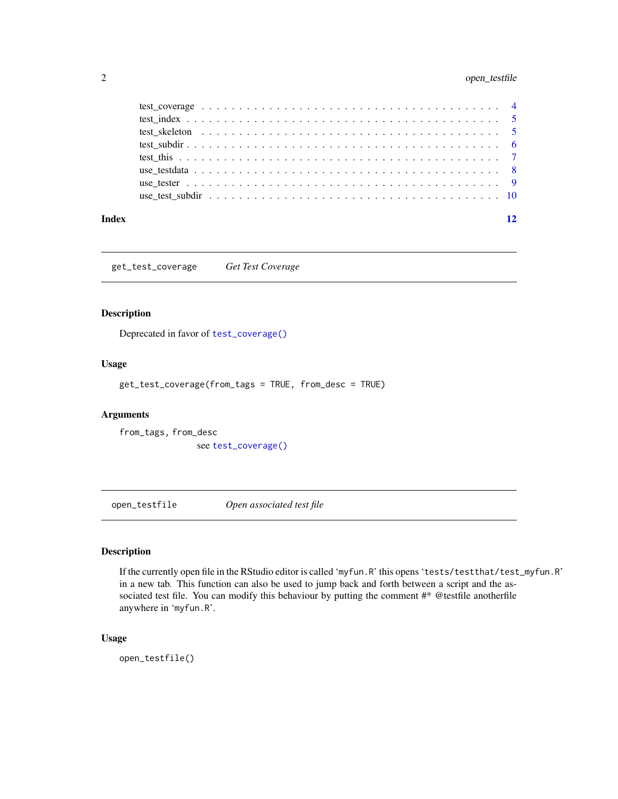# <span id="page-1-0"></span>2 open\_testfile

| Index |  |  |  |  |  |  |  |  |  |  |  |  |  |  |  |  |  |  | 12 |
|-------|--|--|--|--|--|--|--|--|--|--|--|--|--|--|--|--|--|--|----|

get\_test\_coverage *Get Test Coverage*

# Description

Deprecated in favor of [test\\_coverage\(\)](#page-3-1)

# Usage

get\_test\_coverage(from\_tags = TRUE, from\_desc = TRUE)

# Arguments

from\_tags, from\_desc see [test\\_coverage\(\)](#page-3-1)

open\_testfile *Open associated test file*

# Description

If the currently open file in the RStudio editor is called 'myfun.R' this opens 'tests/testthat/test\_myfun.R' in a new tab. This function can also be used to jump back and forth between a script and the associated test file. You can modify this behaviour by putting the comment  $\#^*$  @testfile anotherfile anywhere in 'myfun.R'.

# Usage

open\_testfile()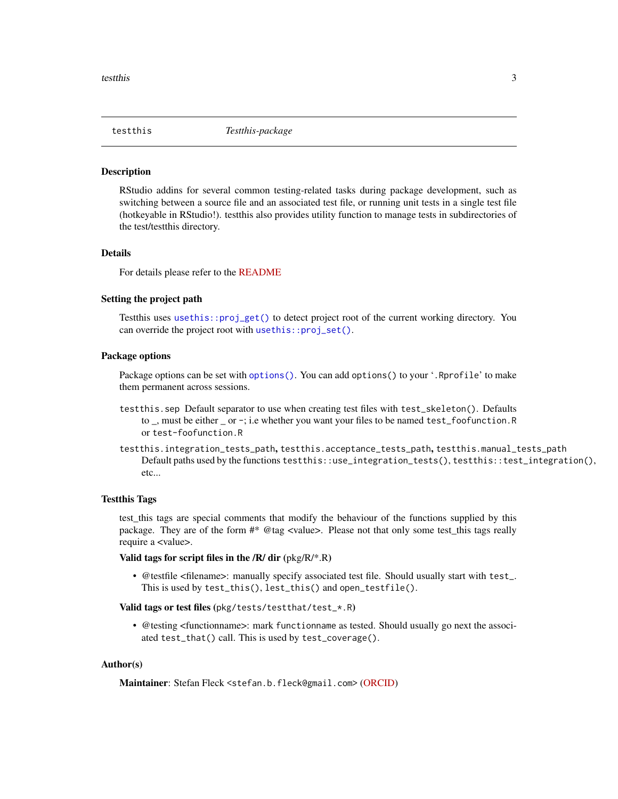<span id="page-2-0"></span>

#### Description

RStudio addins for several common testing-related tasks during package development, such as switching between a source file and an associated test file, or running unit tests in a single test file (hotkeyable in RStudio!). testthis also provides utility function to manage tests in subdirectories of the test/testthis directory.

#### Details

For details please refer to the [README](https://s-fleck.github.io/testthis/index.html)

#### Setting the project path

Testthis uses [usethis::proj\\_get\(\)](#page-0-0) to detect project root of the current working directory. You can override the project root with [usethis::proj\\_set\(\)](#page-0-0).

# Package options

Package options can be set with [options\(\)](#page-0-0). You can add options() to your '. Rprofile' to make them permanent across sessions.

- testthis.sep Default separator to use when creating test files with test\_skeleton(). Defaults to \_, must be either \_ or -; i.e whether you want your files to be named test\_foofunction.R or test-foofunction.R
- testthis.integration\_tests\_path, testthis.acceptance\_tests\_path, testthis.manual\_tests\_path Default paths used by the functions testthis::use\_integration\_tests(), testthis::test\_integration(), etc...

#### Testthis Tags

test\_this tags are special comments that modify the behaviour of the functions supplied by this package. They are of the form #\* @tag <value>. Please not that only some test\_this tags really require a <value>.

#### Valid tags for script files in the  $/R/dir$  ( $pkg/R/*R$ )

• @testfile <filename>: manually specify associated test file. Should usually start with test\_. This is used by test\_this(), lest\_this() and open\_testfile().

#### Valid tags or test files (pkg/tests/testthat/test\_\*.R)

• @testing <functionname>: mark functionname as tested. Should usually go next the associated test\_that() call. This is used by test\_coverage().

# Author(s)

Maintainer: Stefan Fleck <stefan.b.fleck@gmail.com> [\(ORCID\)](https://orcid.org/0000-0003-3344-9851)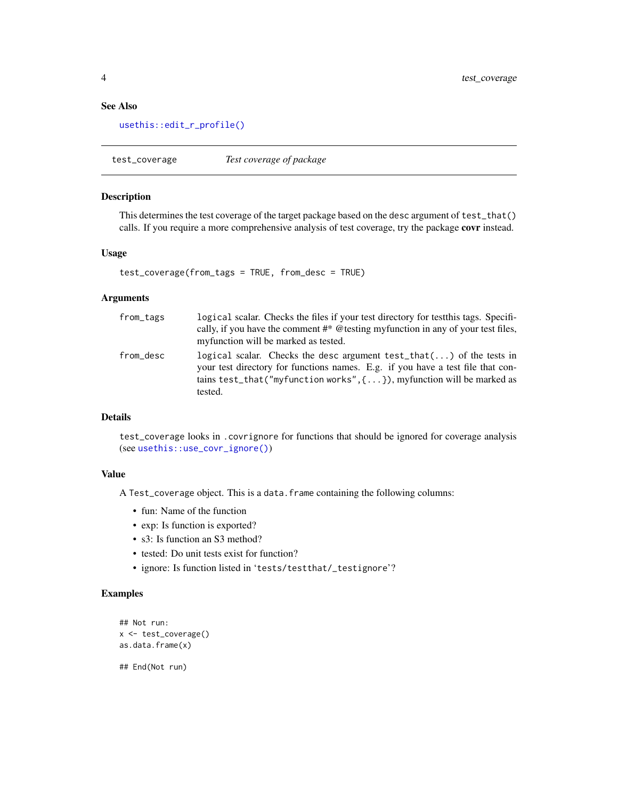# <span id="page-3-0"></span>See Also

[usethis::edit\\_r\\_profile\(\)](#page-0-0)

<span id="page-3-1"></span>test\_coverage *Test coverage of package*

#### Description

This determines the test coverage of the target package based on the desc argument of test\_that() calls. If you require a more comprehensive analysis of test coverage, try the package covr instead.

#### Usage

```
test_coverage(from_tags = TRUE, from_desc = TRUE)
```
#### **Arguments**

| from_tags | logical scalar. Checks the files if your test directory for test this tags. Specifi-<br>cally, if you have the comment #* @testing myfunction in any of your test files,<br>myfunction will be marked as tested.                                         |
|-----------|----------------------------------------------------------------------------------------------------------------------------------------------------------------------------------------------------------------------------------------------------------|
| from_desc | logical scalar. Checks the desc argument test_that() of the tests in<br>your test directory for functions names. E.g. if you have a test file that con-<br>tains test_that("myfunction works", $\{ \ldots \}$ ), myfunction will be marked as<br>tested. |

# Details

test\_coverage looks in .covrignore for functions that should be ignored for coverage analysis (see [usethis::use\\_covr\\_ignore\(\)](#page-0-0))

#### Value

A Test\_coverage object. This is a data.frame containing the following columns:

- fun: Name of the function
- exp: Is function is exported?
- s3: Is function an S3 method?
- tested: Do unit tests exist for function?
- ignore: Is function listed in 'tests/testthat/\_testignore'?

# Examples

```
## Not run:
x <- test_coverage()
as.data.frame(x)
```
## End(Not run)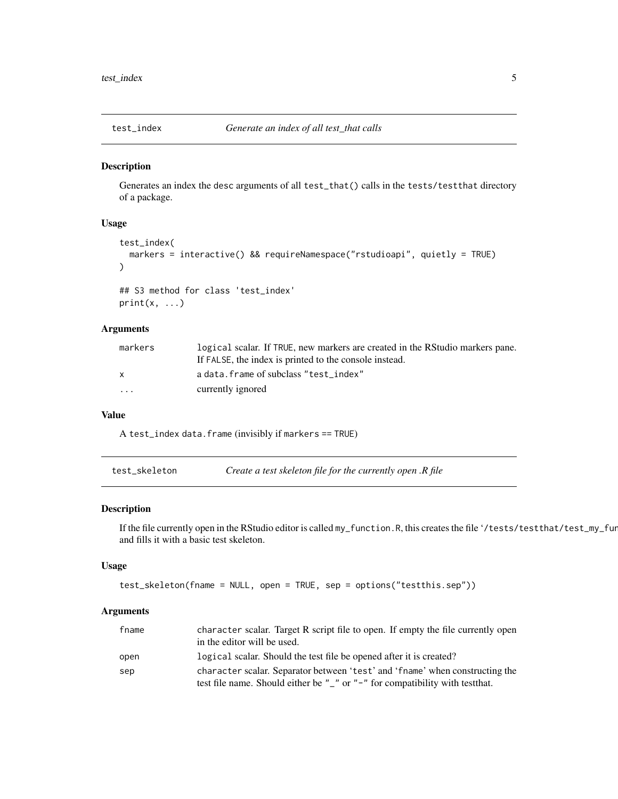<span id="page-4-0"></span>

# Description

Generates an index the desc arguments of all test\_that() calls in the tests/testthat directory of a package.

# Usage

```
test_index(
  markers = interactive() && requireNamespace("rstudioapi", quietly = TRUE)
)
## S3 method for class 'test_index'
print(x, \ldots)
```
# Arguments

| markers      | logical scalar. If TRUE, new markers are created in the RStudio markers pane. |
|--------------|-------------------------------------------------------------------------------|
|              | If FALSE, the index is printed to the console instead.                        |
| $\mathsf{x}$ | a data. frame of subclass "test index"                                        |
| $\cdots$     | currently ignored                                                             |

#### Value

A test\_index data.frame (invisibly if markers == TRUE)

test\_skeleton *Create a test skeleton file for the currently open .R file*

#### Description

If the file currently open in the RStudio editor is called my\_function.R, this creates the file '/tests/testthat/test\_my\_function.R' and fills it with a basic test skeleton.

# Usage

```
test_skeleton(fname = NULL, open = TRUE, sep = options("testthis.sep"))
```
# Arguments

| fname | character scalar. Target R script file to open. If empty the file currently open<br>in the editor will be used.                                                     |
|-------|---------------------------------------------------------------------------------------------------------------------------------------------------------------------|
| open  | logical scalar. Should the test file be opened after it is created?                                                                                                 |
| sep   | character scalar. Separator between 'test' and 'fname' when constructing the<br>test file name. Should either be $"_ "$ or $" -"$ for compatibility with test that. |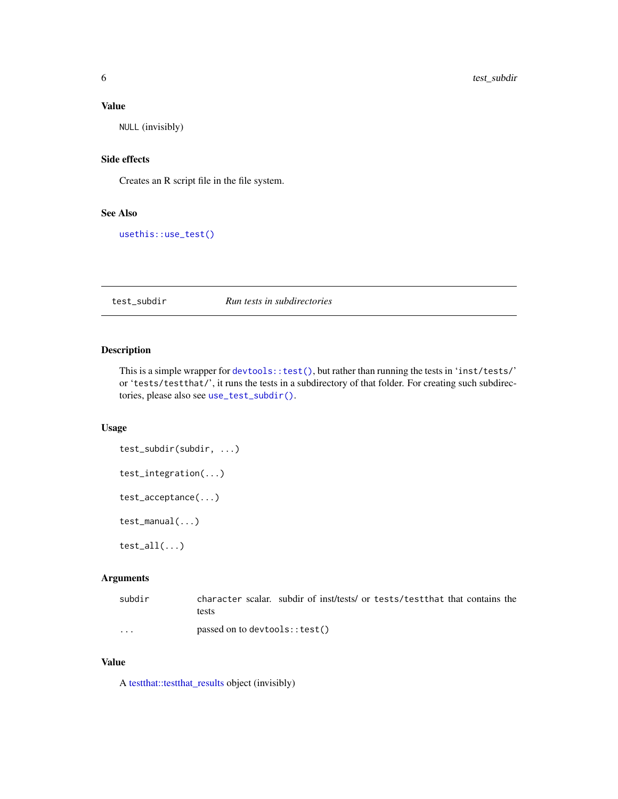# <span id="page-5-0"></span>Value

NULL (invisibly)

#### Side effects

Creates an R script file in the file system.

# See Also

[usethis::use\\_test\(\)](#page-0-0)

# <span id="page-5-1"></span>test\_subdir *Run tests in subdirectories*

# Description

This is a simple wrapper for [devtools::test\(\)](#page-0-0), but rather than running the tests in 'inst/tests/' or 'tests/testthat/', it runs the tests in a subdirectory of that folder. For creating such subdirectories, please also see [use\\_test\\_subdir\(\)](#page-9-1).

# Usage

```
test_subdir(subdir, ...)
test_integration(...)
test_acceptance(...)
test_manual(...)
test\_all(...)
```
# Arguments

| subdir   | character scalar, subdir of inst/tests/ or tests/testthat that contains the |
|----------|-----------------------------------------------------------------------------|
|          | tests                                                                       |
| $\cdots$ | passed on to devtools:: test()                                              |

# Value

A [testthat::testthat\\_results](#page-0-0) object (invisibly)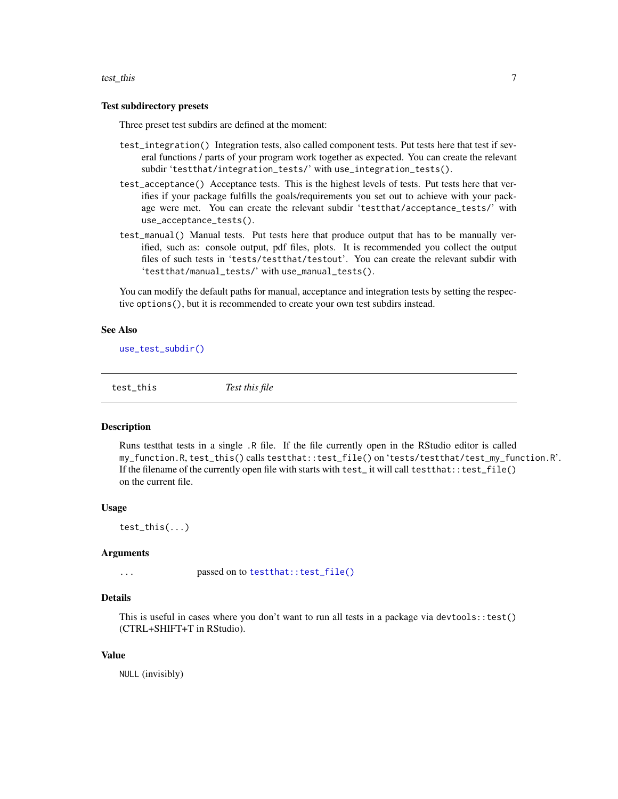#### <span id="page-6-0"></span>test\_this 7

#### Test subdirectory presets

Three preset test subdirs are defined at the moment:

- test\_integration() Integration tests, also called component tests. Put tests here that test if several functions / parts of your program work together as expected. You can create the relevant subdir 'testthat/integration\_tests/' with use\_integration\_tests().
- test\_acceptance() Acceptance tests. This is the highest levels of tests. Put tests here that verifies if your package fulfills the goals/requirements you set out to achieve with your package were met. You can create the relevant subdir 'testthat/acceptance\_tests/' with use\_acceptance\_tests().
- test\_manual() Manual tests. Put tests here that produce output that has to be manually verified, such as: console output, pdf files, plots. It is recommended you collect the output files of such tests in 'tests/testthat/testout'. You can create the relevant subdir with 'testthat/manual\_tests/' with use\_manual\_tests().

You can modify the default paths for manual, acceptance and integration tests by setting the respective options(), but it is recommended to create your own test subdirs instead.

#### See Also

[use\\_test\\_subdir\(\)](#page-9-1)

test\_this *Test this file*

# **Description**

Runs testthat tests in a single .R file. If the file currently open in the RStudio editor is called my\_function.R, test\_this() calls testthat::test\_file() on 'tests/testthat/test\_my\_function.R'. If the filename of the currently open file with starts with test\_ it will call testthat::test\_file() on the current file.

#### Usage

test\_this(...)

#### Arguments

... passed on to [testthat::test\\_file\(\)](#page-0-0)

#### Details

This is useful in cases where you don't want to run all tests in a package via devtools::test() (CTRL+SHIFT+T in RStudio).

#### Value

NULL (invisibly)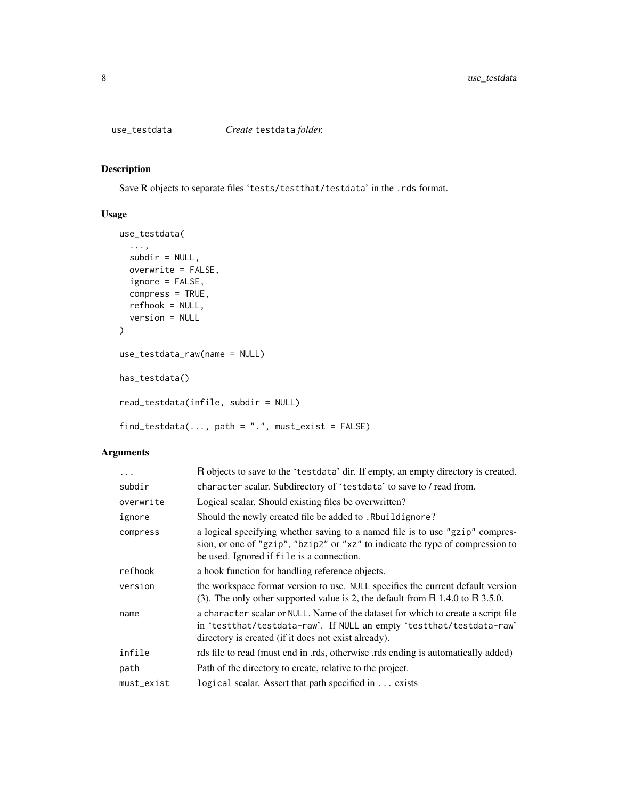<span id="page-7-1"></span><span id="page-7-0"></span>

# Description

Save R objects to separate files 'tests/testthat/testdata' in the .rds format.

# Usage

```
use_testdata(
  ...,
 subdir = NULL,overwrite = FALSE,
  ignore = FALSE,
 compress = TRUE,
 refhook = NULL,
 version = NULL
\mathcal{L}use_testdata_raw(name = NULL)
has_testdata()
read_testdata(infile, subdir = NULL)
find\_testdata(..., path = ".", must\_exist = FALSE)
```
# Arguments

| $\ddots$ . | R objects to save to the 'testdata' dir. If empty, an empty directory is created.                                                                                                                                 |
|------------|-------------------------------------------------------------------------------------------------------------------------------------------------------------------------------------------------------------------|
| subdir     | character scalar. Subdirectory of 'testdata' to save to / read from.                                                                                                                                              |
| overwrite  | Logical scalar. Should existing files be overwritten?                                                                                                                                                             |
| ignore     | Should the newly created file be added to . Rbuildignore?                                                                                                                                                         |
| compress   | a logical specifying whether saving to a named file is to use "gzip" compres-<br>sion, or one of "gzip", "bzip2" or "xz" to indicate the type of compression to<br>be used. Ignored if file is a connection.      |
| refhook    | a hook function for handling reference objects.                                                                                                                                                                   |
| version    | the workspace format version to use. NULL specifies the current default version<br>(3). The only other supported value is 2, the default from $R$ 1.4.0 to $R$ 3.5.0.                                             |
| name       | a character scalar or NULL. Name of the dataset for which to create a script file<br>in 'testthat/testdata-raw'. If NULL an empty 'testthat/testdata-raw'<br>directory is created (if it does not exist already). |
| infile     | rds file to read (must end in .rds, otherwise .rds ending is automatically added)                                                                                                                                 |
| path       | Path of the directory to create, relative to the project.                                                                                                                                                         |
| must_exist | logical scalar. Assert that path specified in  exists                                                                                                                                                             |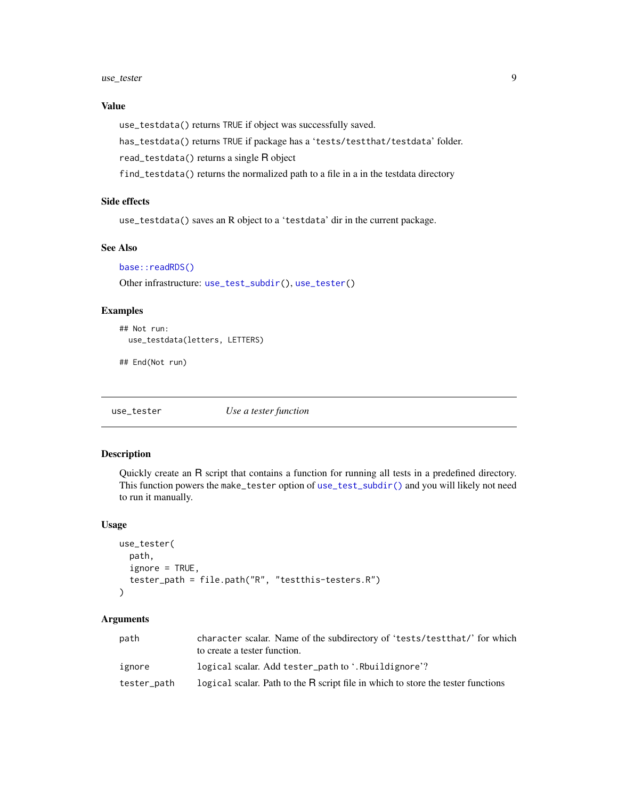#### <span id="page-8-0"></span>use\_tester 9

# Value

use\_testdata() returns TRUE if object was successfully saved.

has\_testdata() returns TRUE if package has a 'tests/testthat/testdata' folder.

read\_testdata() returns a single R object

find\_testdata() returns the normalized path to a file in a in the testdata directory

# Side effects

use\_testdata() saves an R object to a 'testdata' dir in the current package.

## See Also

[base::readRDS\(\)](#page-0-0)

Other infrastructure: [use\\_test\\_subdir\(](#page-9-1)), [use\\_tester\(](#page-8-1))

# Examples

```
## Not run:
 use_testdata(letters, LETTERS)
```
## End(Not run)

<span id="page-8-1"></span>use\_tester *Use a tester function*

# Description

Quickly create an R script that contains a function for running all tests in a predefined directory. This function powers the make\_tester option of [use\\_test\\_subdir\(\)](#page-9-1) and you will likely not need to run it manually.

#### Usage

```
use_tester(
 path,
  igmore = TRUE,tester_path = file.path("R", "testthis-testers.R")
)
```
#### Arguments

| path        | character scalar. Name of the subdirectory of 'tests/testthat/' for which        |
|-------------|----------------------------------------------------------------------------------|
|             | to create a tester function.                                                     |
| ignore      | logical scalar. Add tester_path to '.Rbuildignore'?                              |
| tester_path | logical scalar. Path to the R script file in which to store the tester functions |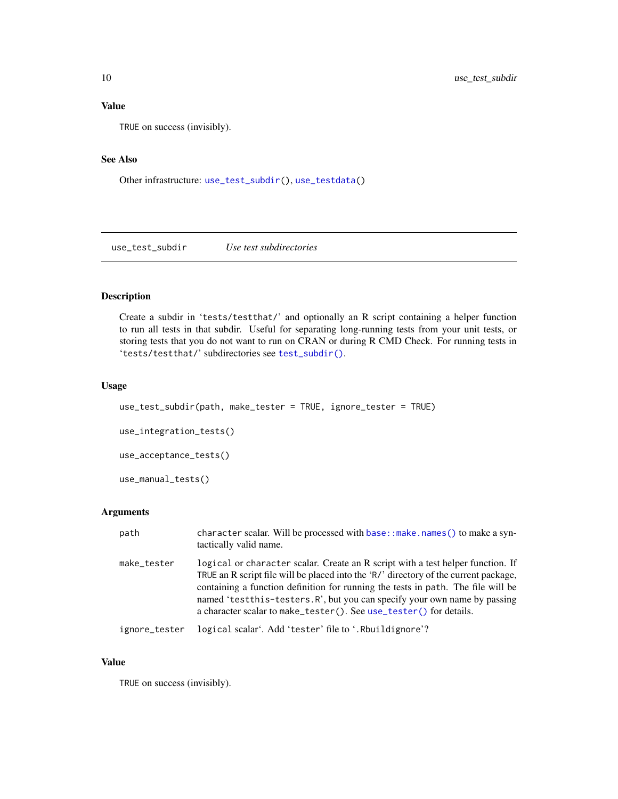# <span id="page-9-0"></span>Value

TRUE on success (invisibly).

#### See Also

Other infrastructure: [use\\_test\\_subdir\(](#page-9-1)), [use\\_testdata\(](#page-7-1))

<span id="page-9-1"></span>use\_test\_subdir *Use test subdirectories*

# Description

Create a subdir in 'tests/testthat/' and optionally an R script containing a helper function to run all tests in that subdir. Useful for separating long-running tests from your unit tests, or storing tests that you do not want to run on CRAN or during R CMD Check. For running tests in 'tests/testthat/' subdirectories see [test\\_subdir\(\)](#page-5-1).

#### Usage

```
use_test_subdir(path, make_tester = TRUE, ignore_tester = TRUE)
use_integration_tests()
use_acceptance_tests()
use_manual_tests()
```
# Arguments

| path          | character scalar. Will be processed with base:: make.names() to make a syn-<br>tactically valid name.                                                                                                                                                                                                                                                                                                           |
|---------------|-----------------------------------------------------------------------------------------------------------------------------------------------------------------------------------------------------------------------------------------------------------------------------------------------------------------------------------------------------------------------------------------------------------------|
| make_tester   | logical or character scalar. Create an R script with a test helper function. If<br>TRUE an R script file will be placed into the 'R/' directory of the current package,<br>containing a function definition for running the tests in path. The file will be<br>named 'test this-testers. R', but you can specify your own name by passing<br>a character scalar to make_tester(). See use_tester() for details. |
| ignore_tester | logical scalar'. Add 'tester' file to '. Rbuildignore'?                                                                                                                                                                                                                                                                                                                                                         |

# Value

TRUE on success (invisibly).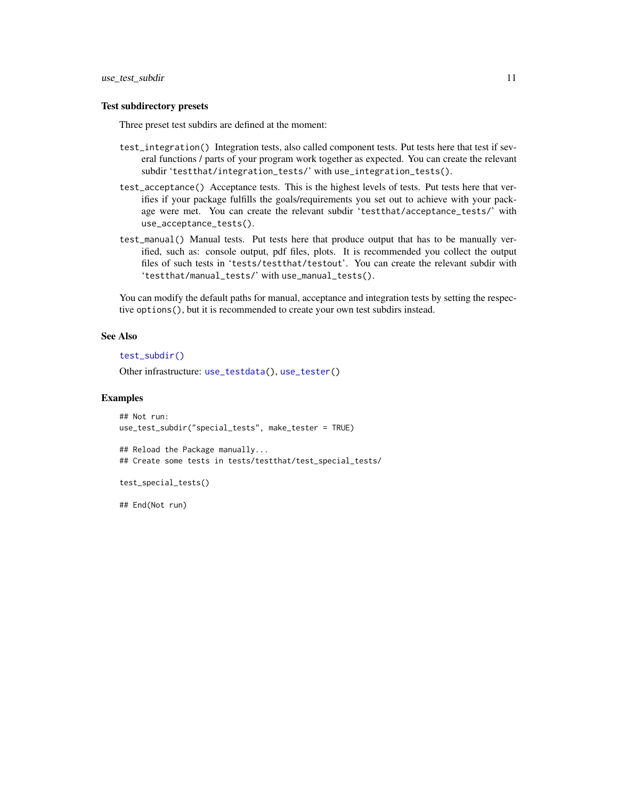#### <span id="page-10-0"></span>Test subdirectory presets

Three preset test subdirs are defined at the moment:

- test\_integration() Integration tests, also called component tests. Put tests here that test if several functions / parts of your program work together as expected. You can create the relevant subdir 'testthat/integration\_tests/' with use\_integration\_tests().
- test\_acceptance() Acceptance tests. This is the highest levels of tests. Put tests here that verifies if your package fulfills the goals/requirements you set out to achieve with your package were met. You can create the relevant subdir 'testthat/acceptance\_tests/' with use\_acceptance\_tests().
- test\_manual() Manual tests. Put tests here that produce output that has to be manually verified, such as: console output, pdf files, plots. It is recommended you collect the output files of such tests in 'tests/testthat/testout'. You can create the relevant subdir with 'testthat/manual\_tests/' with use\_manual\_tests().

You can modify the default paths for manual, acceptance and integration tests by setting the respective options(), but it is recommended to create your own test subdirs instead.

#### See Also

[test\\_subdir\(\)](#page-5-1)

Other infrastructure: [use\\_testdata\(](#page-7-1)), [use\\_tester\(](#page-8-1))

#### Examples

```
## Not run:
use_test_subdir("special_tests", make_tester = TRUE)
## Reload the Package manually...
## Create some tests in tests/testthat/test_special_tests/
test_special_tests()
```
## End(Not run)